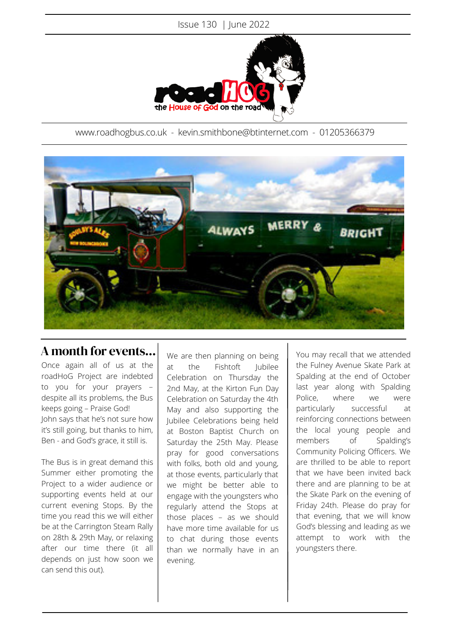

www.roadhogbus.co.uk - kevin.smithbone@btinternet.com - 01205366379



## A month for events...

Once again all of us at the roadHoG Project are indebted to you for your prayers – despite all its problems, the Bus keeps going – Praise God! John says that he's not sure how it's still going, but thanks to him, Ben - and God's grace, it still is.

The Bus is in great demand this Summer either promoting the Project to a wider audience or supporting events held at our current evening Stops. By the time you read this we will either be at the Carrington Steam Rally on 28th & 29th May, or relaxing after our time there (it all depends on just how soon we can send this out).

We are then planning on being at the Fishtoft Jubilee Celebration on Thursday the 2nd May, at the Kirton Fun Day Celebration on Saturday the 4th May and also supporting the Jubilee Celebrations being held at Boston Baptist Church on Saturday the 25th May. Please pray for good conversations with folks, both old and young, at those events, particularly that we might be better able to engage with the youngsters who regularly attend the Stops at those places – as we should have more time available for us to chat during those events than we normally have in an evening.

You may recall that we attended the Fulney Avenue Skate Park at Spalding at the end of October last year along with Spalding Police, where we were particularly successful at reinforcing connections between the local young people and members of Spalding's Community Policing Officers. We are thrilled to be able to report that we have been invited back there and are planning to be at the Skate Park on the evening of Friday 24th. Please do pray for that evening, that we will know God's blessing and leading as we attempt to work with the youngsters there.